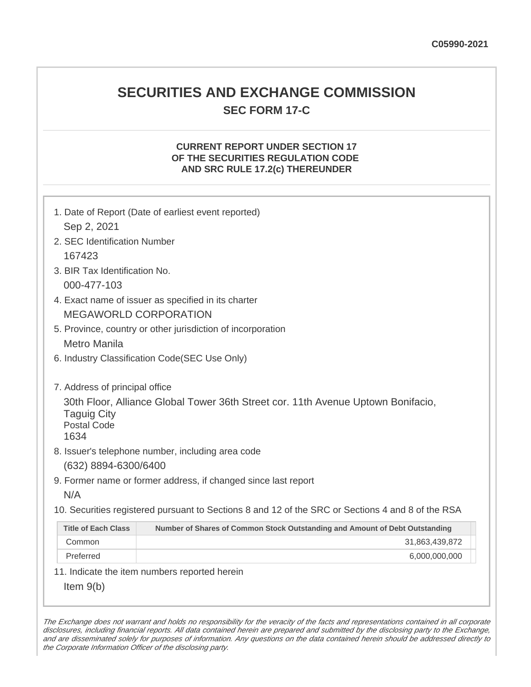# **SECURITIES AND EXCHANGE COMMISSION SEC FORM 17-C**

## **CURRENT REPORT UNDER SECTION 17 OF THE SECURITIES REGULATION CODE AND SRC RULE 17.2(c) THEREUNDER**

| 1. Date of Report (Date of earliest event reported)<br>Sep 2, 2021                                                                   |                                                                             |
|--------------------------------------------------------------------------------------------------------------------------------------|-----------------------------------------------------------------------------|
| 2. SEC Identification Number                                                                                                         |                                                                             |
| 167423                                                                                                                               |                                                                             |
| 3. BIR Tax Identification No.                                                                                                        |                                                                             |
| 000-477-103                                                                                                                          |                                                                             |
| 4. Exact name of issuer as specified in its charter                                                                                  |                                                                             |
| <b>MEGAWORLD CORPORATION</b>                                                                                                         |                                                                             |
| 5. Province, country or other jurisdiction of incorporation                                                                          |                                                                             |
| <b>Metro Manila</b>                                                                                                                  |                                                                             |
| 6. Industry Classification Code(SEC Use Only)                                                                                        |                                                                             |
|                                                                                                                                      |                                                                             |
| 7. Address of principal office                                                                                                       |                                                                             |
| 30th Floor, Alliance Global Tower 36th Street cor. 11th Avenue Uptown Bonifacio,<br><b>Taguig City</b><br><b>Postal Code</b><br>1634 |                                                                             |
| 8. Issuer's telephone number, including area code                                                                                    |                                                                             |
| (632) 8894-6300/6400                                                                                                                 |                                                                             |
| 9. Former name or former address, if changed since last report                                                                       |                                                                             |
| N/A                                                                                                                                  |                                                                             |
| 10. Securities registered pursuant to Sections 8 and 12 of the SRC or Sections 4 and 8 of the RSA                                    |                                                                             |
| <b>Title of Each Class</b>                                                                                                           | Number of Shares of Common Stock Outstanding and Amount of Debt Outstanding |
| Common                                                                                                                               | 31,863,439,872                                                              |
| Preferred                                                                                                                            | 6,000,000,000                                                               |
| 11. Indicate the item numbers reported herein                                                                                        |                                                                             |
| Item $9(b)$                                                                                                                          |                                                                             |

The Exchange does not warrant and holds no responsibility for the veracity of the facts and representations contained in all corporate disclosures, including financial reports. All data contained herein are prepared and submitted by the disclosing party to the Exchange, and are disseminated solely for purposes of information. Any questions on the data contained herein should be addressed directly to the Corporate Information Officer of the disclosing party.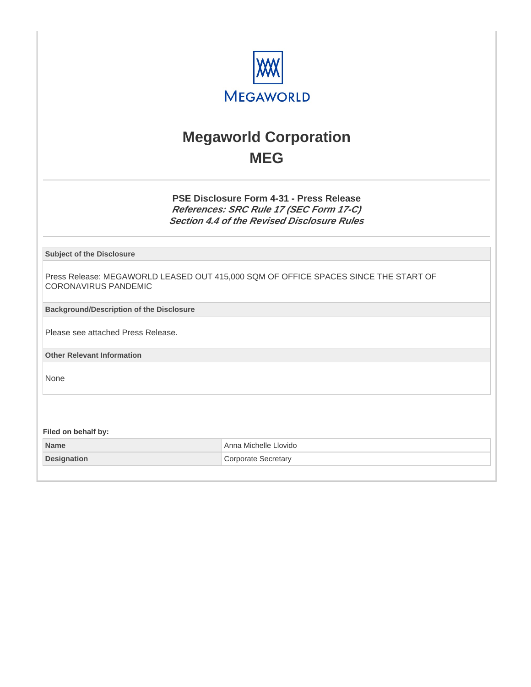

# **Megaworld Corporation MEG**

**PSE Disclosure Form 4-31 - Press Release References: SRC Rule 17 (SEC Form 17-C) Section 4.4 of the Revised Disclosure Rules**

**Subject of the Disclosure**

Press Release: MEGAWORLD LEASED OUT 415,000 SQM OF OFFICE SPACES SINCE THE START OF CORONAVIRUS PANDEMIC

**Background/Description of the Disclosure**

Please see attached Press Release.

**Other Relevant Information**

None

**Filed on behalf by:**

**Name Anna Michelle Llovido Anna Michelle Llovido Designation Corporate Secretary**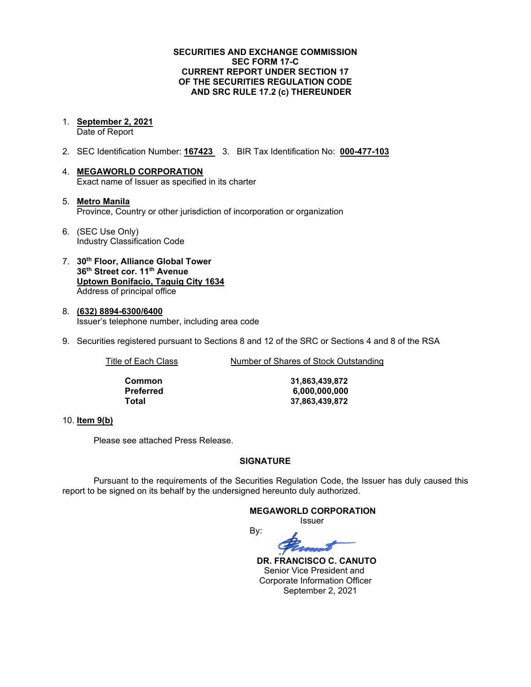#### **SECURITIES AND EXCHANGE COMMISSION SEC FORM 17-C CURRENT REPORT UNDER SECTION 17 OF THE SECURITIES REGULATION CODE AND SRC RULE 17.2 (c) THEREUNDER**

1. **September 2, 2021**

Date of Report

- 2. SEC Identification Number: **167423** 3. BIR Tax Identification No: **000-477-103**
- 4. **MEGAWORLD CORPORATION** Exact name of Issuer as specified in its charter
- 5. **Metro Manila** Province, Country or other jurisdiction of incorporation or organization
- 6. (SEC Use Only) Industry Classification Code
- 7. **30th Floor, Alliance Global Tower 36th Street cor. 11th Avenue Uptown Bonifacio, Taguig City 1634** Address of principal office
- 8. **(632) 8894-6300/6400** Issuer's telephone number, including area code
- 9. Securities registered pursuant to Sections 8 and 12 of the SRC or Sections 4 and 8 of the RSA

Title of Each Class Number of Shares of Stock Outstanding

**Common 31,863,439,872 Preferred 6,000,000,000 Total 37,863,439,872**

#### 10. **Item 9(b)**

Please see attached Press Release.

### **SIGNATURE**

Pursuant to the requirements of the Securities Regulation Code, the Issuer has duly caused this report to be signed on its behalf by the undersigned hereunto duly authorized.

By:

**MEGAWORLD CORPORATION**

Issuer



 **DR. FRANCISCO C. CANUTO** Senior Vice President and Corporate Information Officer September 2, 2021